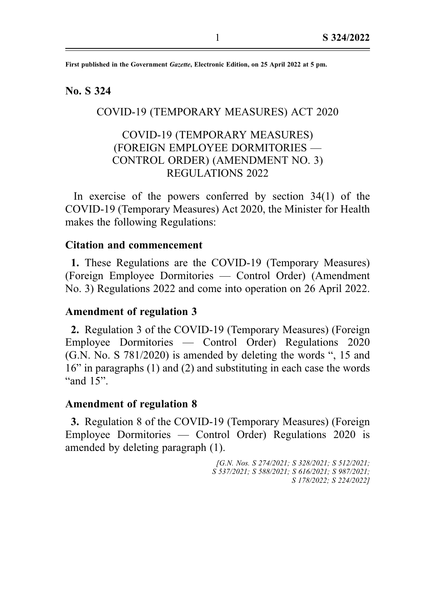First published in the Government Gazette, Electronic Edition, on 25 April 2022 at 5 pm.

## No. S 324

## COVID-19 (TEMPORARY MEASURES) ACT 2020

# COVID-19 (TEMPORARY MEASURES) (FOREIGN EMPLOYEE DORMITORIES — CONTROL ORDER) (AMENDMENT NO. 3) REGULATIONS 2022

In exercise of the powers conferred by section 34(1) of the COVID-19 (Temporary Measures) Act 2020, the Minister for Health makes the following Regulations:

### Citation and commencement

1. These Regulations are the COVID-19 (Temporary Measures) (Foreign Employee Dormitories — Control Order) (Amendment No. 3) Regulations 2022 and come into operation on 26 April 2022.

#### Amendment of regulation 3

2. Regulation 3 of the COVID-19 (Temporary Measures) (Foreign Employee Dormitories — Control Order) Regulations 2020 (G.N. No. S 781/2020) is amended by deleting the words ", 15 and 16" in paragraphs (1) and (2) and substituting in each case the words "and 15".

## Amendment of regulation 8

3. Regulation 8 of the COVID-19 (Temporary Measures) (Foreign Employee Dormitories — Control Order) Regulations 2020 is amended by deleting paragraph (1).

> [G.N. Nos. S 274/2021; S 328/2021; S 512/2021;  $S178/2022 \cdot S224/20221$  $\mathcal{S}$  178/2022; S 224/2022; S 224/2022; S 224/2022; S 224/2022; S 224/2022; S 224/2022; S 224/2022; S 224/2022; S 224/2022; S 224/2022; S 224/2022; S 224/2022; S 224/2022; S 224/2022; S 224/2022; S 224/2022; S 224/2022